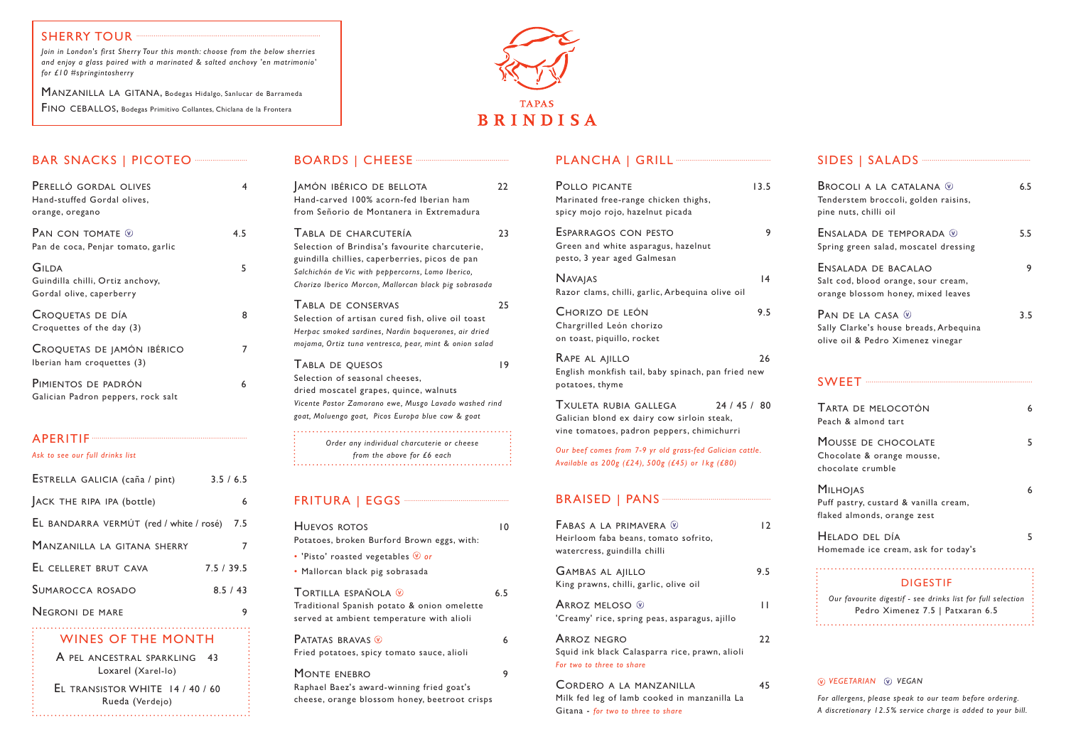# SHERRY TOUR ·

 $B$ AR SNACKS LAICOTEC

| BAR SNACKS   PICOTEO ---------------                                         |     |
|------------------------------------------------------------------------------|-----|
| PERELLÓ GORDAL OLIVES<br>Hand-stuffed Gordal olives,<br>orange, oregano      | 4   |
| Pan con tomate $\mathcal D$<br>Pan de coca, Penjar tomato, garlic            | 4.5 |
| <b>GILDA</b><br>Guindilla chilli, Ortiz anchovy,<br>Gordal olive, caperberry | 5   |
| CROQUETAS DE DÍA<br>Croquettes of the day (3)                                | 8   |
| CROQUETAS DE JAMÓN IBÉRICO<br>Iberian ham croquettes (3)                     | 7   |
| PIMIENTOS DE PADRÓN<br>Galician Padron peppers, rock salt                    | 6   |

# APERITIF

*Ask to see our full drinks list* 

| ESTRELLA GALICIA (caña / pint)          | 3.5 / 6.5 |
|-----------------------------------------|-----------|
| ACK THE RIPA IPA (bottle)               | 6         |
| EL BANDARRA VERMÚT (red / white / rosé) | 7.5       |
| MANZANILLA LA GITANA SHERRY             | 7         |
| EL CELLERET BRUT CAVA                   | 7.5/39.5  |
| <b>SUMAROCCA ROSADO</b>                 | 8.5/43    |
| <b>NEGRONI DE MARE</b>                  | 9         |
| VALUATED OF THE MONEYLE                 |           |

| AMÓN IBÉRICO DE BELLOTA<br>Hand-carved 100% acorn-fed Iberian ham<br>from Señorio de Montanera in Extremadura                                                                                                                          | 22 |
|----------------------------------------------------------------------------------------------------------------------------------------------------------------------------------------------------------------------------------------|----|
| TABLA DE CHARCUTERÍA<br>Selection of Brindisa's favourite charcuterie,<br>guindilla chillies, caperberries, picos de pan<br>Salchichón de Vic with peppercorns, Lomo Iberico,<br>Chorizo Iberico Morcon, Mallorcan black pig sobrasada | 23 |
| <b>TABLA DE CONSERVAS</b><br>Selection of artisan cured fish, olive oil toast<br>Herpac smoked sardines, Nardin boquerones, air dried<br>mojama, Ortiz tuna ventresca, pear, mint & onion salad                                        | 25 |
| TABLA DE QUESOS<br>Selection of seasonal cheeses,<br>dried moscatel grapes, quince, walnuts<br>Vicente Pastor Zamorano ewe, Musgo Lavado washed rind<br>goat, Moluengo goat, Picos Europa blue cow & goat                              | 19 |
| Order any individual charcuterie or cheese<br>from the above for £6 each                                                                                                                                                               |    |

# FRITURA | EGGS ·········

Squid ink black Calasparra rice, prawn, alioli *For two to three to share* CORDERO A LA MANZANILLA 45

| HUEVOS ROTOS<br>Potatoes, broken Burford Brown eggs, with:                                                      | ١O  |
|-----------------------------------------------------------------------------------------------------------------|-----|
| • 'Pisto' roasted vegetables $\mathcal Q$ or<br>· Mallorcan black pig sobrasada                                 |     |
| TORTILLA ESPAÑOLA ®<br>Traditional Spanish potato & onion omelette<br>served at ambient temperature with alioli | 6.5 |
| <b>PATATAS BRAVAS W</b><br>Fried potatoes, spicy tomato sauce, alioli                                           | 6   |
| MONTE ENEBRO<br>Raphael Baez's award-winning fried goat's<br>cheese, orange blossom honey, beetroot crisps      | 9   |

# PLANCHA | GRILL<sup>---</sup>

A PEL ANCESTRAL SPARKLING 43 Loxarel (Xarel-lo)

| POLLO PICANTE<br>Marinated free-range chicken thighs,<br>spicy mojo rojo, hazelnut picada                                         | 13.5 |
|-----------------------------------------------------------------------------------------------------------------------------------|------|
| ESPARRAGOS CON PESTO<br>Green and white asparagus, hazelnut<br>pesto, 3 year aged Galmesan                                        | 9    |
| <b>NAVAJAS</b><br>Razor clams, chilli, garlic, Arbequina olive oil                                                                | 4    |
| CHORIZO DE LEÓN<br>Chargrilled León chorizo<br>on toast, piquillo, rocket                                                         | 9.5  |
| RAPE AL AJILLO<br>English monkfish tail, baby spinach, pan fried new<br>potatoes, thyme                                           | 26   |
| TXULETA RUBIA GALLEGA<br>24 / 45 / 80<br>Galician blond ex dairy cow sirloin steak,<br>vine tomatoes, padron peppers, chimichurri |      |
| Our beef comes from 7-9 yr old grass-fed Galician cattle.<br>Available as 200g (£24), 500g (£45) or 1kg (£80)                     |      |
|                                                                                                                                   |      |
| FABAS A LA PRIMAVERA ®<br>Heirloom faba beans, tomato sofrito,<br>watercress, guindilla chilli                                    | 12   |
| <b>GAMBAS AL AIILLO</b><br>King prawns, chilli, garlic, olive oil                                                                 | 9.5  |
| ARROZ MELOSO ®<br>'Creamy' rice, spring peas, asparagus, ajillo                                                                   | П    |
| <b>ARROZ NEGRO</b><br>والمترك والمملط والمزامات                                                                                   | 22   |

Milk fed leg of lamb cooked in manzanilla La Gitana - *for two to three to share*

| SIDES   SALADS ~~~~~~~~~~~~~~~~~~~~~~~~~~~~~~                                                                      |     |
|--------------------------------------------------------------------------------------------------------------------|-----|
| <b>BROCOLI A LA CATALANA W</b><br>Tenderstem broccoli, golden raisins,<br>pine nuts, chilli oil                    | 6.5 |
| ENSALADA DE TEMPORADA ®<br>Spring green salad, moscatel dressing                                                   | 5.5 |
| ENSALADA DE BACALAO<br>Salt cod, blood orange, sour cream,<br>orange blossom honey, mixed leaves                   | 9   |
| PAN DE LA CASA $\mathcal Q$<br>Sally Clarke's house breads, Arbequina<br>olive oil & Pedro Ximenez vinegar         | 3.5 |
|                                                                                                                    |     |
| TARTA DE MELOCOTÓN<br>Peach & almond tart                                                                          | 6   |
| MOUSSE DE CHOCOLATE<br>Chocolate & orange mousse,<br>chocolate crumble                                             | 5   |
| <b>MILHOJAS</b><br>Puff pastry, custard & vanilla cream,<br>flaked almonds, orange zest                            | 6   |
| HELADO DEL DÍA<br>Homemade ice cream, ask for today's                                                              | 5   |
| <b>DIGESTIF</b><br>Our favourite digestif - see drinks list for full selection<br>Pedro Ximenez 7.5   Patxaran 6.5 |     |
|                                                                                                                    |     |

#### *vegetarian vegan*

*For allergens, please speak to our team before ordering. A discretionary 12.5% service charge is added to your bill.*

*Join in London's first Sherry Tour this month: choose from the below sherries and enjoy a glass paired with a marinated & salted anchovy 'en matrimonio' for £10 #springintosherry*

MANZANILLA LA GITANA, Bodegas Hidalgo, Sanlucar de Barrameda FINO CEBALLOS, Bodegas Primitivo Collantes, Chiclana de la Frontera



### WINES OF THE MONTH

El transistor WHITE 14 / 40 / 60 Rueda (Verdejo)

# BOARDS | CHEESE ·